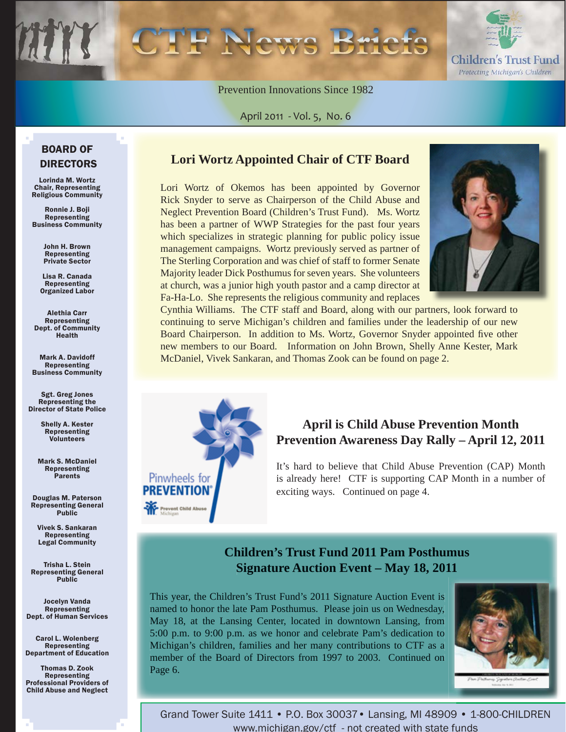

Prevention Innovations Since 1982

April 2011 - Vol. 5, No. 6

### BOARD OF DIRECTORS

Lorinda M. Wortz Chair, Representing Religious Community

Ronnie J. Boji **Representing** Business Community

> John H. Brown Representing Private Sector

Lisa R. Canada Representing Organized Labor

Alethia Carr Representing Dept. of Community Health

Mark A. Davidoff Representing Business Community

Sgt. Greg Jones Representing the Director of State Police

> Shelly A. Kester Representing Volunteers

Mark S. McDaniel Representing Parents

Douglas M. Paterson Representing General **Public** 

Vivek S. Sankaran Representing Legal Community

Trisha L. Stein Representing General **Public** 

Jocelyn Vanda Representing Dept. of Human Services

Carol L. Wolenberg Representing Department of Education

Thomas D. Zook Representing Professional Providers of Child Abuse and Neglect

### **Lori Wortz Appointed Chair of CTF Board**

Lori Wortz of Okemos has been appointed by Governor Rick Snyder to serve as Chairperson of the Child Abuse and Neglect Prevention Board (Children's Trust Fund). Ms. Wortz has been a partner of WWP Strategies for the past four years which specializes in strategic planning for public policy issue management campaigns. Wortz previously served as partner of The Sterling Corporation and was chief of staff to former Senate Majority leader Dick Posthumus for seven years. She volunteers at church, was a junior high youth pastor and a camp director at Fa-Ha-Lo. She represents the religious community and replaces



Cynthia Williams. The CTF staff and Board, along with our partners, look forward to continuing to serve Michigan's children and families under the leadership of our new Board Chairperson. In addition to Ms. Wortz, Governor Snyder appointed five other new members to our Board. Information on John Brown, Shelly Anne Kester, Mark McDaniel, Vivek Sankaran, and Thomas Zook can be found on page 2.



# **April is Child Abuse Prevention Month Prevention Awareness Day Rally – April 12, 2011**

It's hard to believe that Child Abuse Prevention (CAP) Month is already here! CTF is supporting CAP Month in a number of exciting ways. Continued on page 4.

## **Children's Trust Fund 2011 Pam Posthumus Signature Auction Event – May 18, 2011**

This year, the Children's Trust Fund's 2011 Signature Auction Event is named to honor the late Pam Posthumus. Please join us on Wednesday, May 18, at the Lansing Center, located in downtown Lansing, from 5:00 p.m. to 9:00 p.m. as we honor and celebrate Pam's dedication to Michigan's children, families and her many contributions to CTF as a member of the Board of Directors from 1997 to 2003. Continued on Page 6.



Grand Tower Suite 1411 • P.O. Box 30037• Lansing, MI 48909 • 1-800-CHILDREN www.michigan.gov/ctf - not created with state funds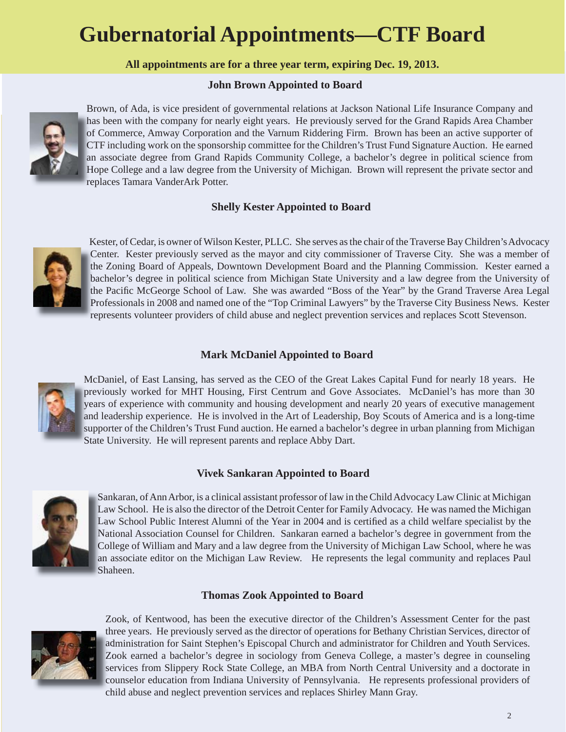# **Gubernatorial Appointments—CTF Board**

**All appointments are for a three year term, expiring Dec. 19, 2013.**

#### **John Brown Appointed to Board**



Brown, of Ada, is vice president of governmental relations at Jackson National Life Insurance Company and has been with the company for nearly eight years. He previously served for the Grand Rapids Area Chamber ha of Commerce, Amway Corporation and the Varnum Riddering Firm. Brown has been an active supporter of CTF including work on the sponsorship committee for the Children's Trust Fund Signature Auction. He earned CT an associate degree from Grand Rapids Community College, a bachelor's degree in political science from an Hope College and a law degree from the University of Michigan. Brown will represent the private sector and Ho replaces Tamara VanderArk Potter.

### **Shelly Kester Appointed to Board**



Kester, of Cedar, is owner of Wilson Kester, PLLC. She serves as the chair of the Traverse Bay Children's Advocacy Center. Kester previously served as the mayor and city commissioner of Traverse City. She was a member of C the Zoning Board of Appeals, Downtown Development Board and the Planning Commission. Kester earned a th bachelor's degree in political science from Michigan State University and a law degree from the University of ba the Pacific McGeorge School of Law. She was awarded "Boss of the Year" by the Grand Traverse Area Legal Professionals in 2008 and named one of the "Top Criminal Lawyers" by the Traverse City Business News. Kester Pr represents volunteer providers of child abuse and neglect prevention services and replaces Scott Stevenson. re

### **Mark McDaniel Appointed to Board**



McDaniel, of East Lansing, has served as the CEO of the Great Lakes Capital Fund for nearly 18 years. He previously worked for MHT Housing, First Centrum and Gove Associates. McDaniel's has more than 30 pr years of experience with community and housing development and nearly 20 years of executive management ye and leadership experience. He is involved in the Art of Leadership, Boy Scouts of America and is a long-time an supporter of the Children's Trust Fund auction. He earned a bachelor's degree in urban planning from Michigan su State University. He will represent parents and replace Abby Dart. St

#### **Vivek Sankaran Appointed to Board**



Sankaran, of Ann Arbor, is a clinical assistant professor of law in the Child Advocacy Law Clinic at Michigan Sa Law School. He is also the director of the Detroit Center for Family Advocacy. He was named the Michigan La Law School Public Interest Alumni of the Year in 2004 and is certified as a child welfare specialist by the National Association Counsel for Children. Sankaran earned a bachelor's degree in government from the N College of William and Mary and a law degree from the University of Michigan Law School, where he was Co an associate editor on the Michigan Law Review. He represents the legal community and replaces Paul an Shaheen. Sh

#### **Thomas Zook Appointed to Board**



Zook, of Kentwood, has been the executive director of the Children's Assessment Center for the past three years. He previously served as the director of operations for Bethany Christian Services, director of th administration for Saint Stephen's Episcopal Church and administrator for Children and Youth Services. ad Zook earned a bachelor's degree in sociology from Geneva College, a master's degree in counseling Zo services from Slippery Rock State College, an MBA from North Central University and a doctorate in counselor education from Indiana University of Pennsylvania. He represents professional providers of co child abuse and neglect prevention services and replaces Shirley Mann Gray. ch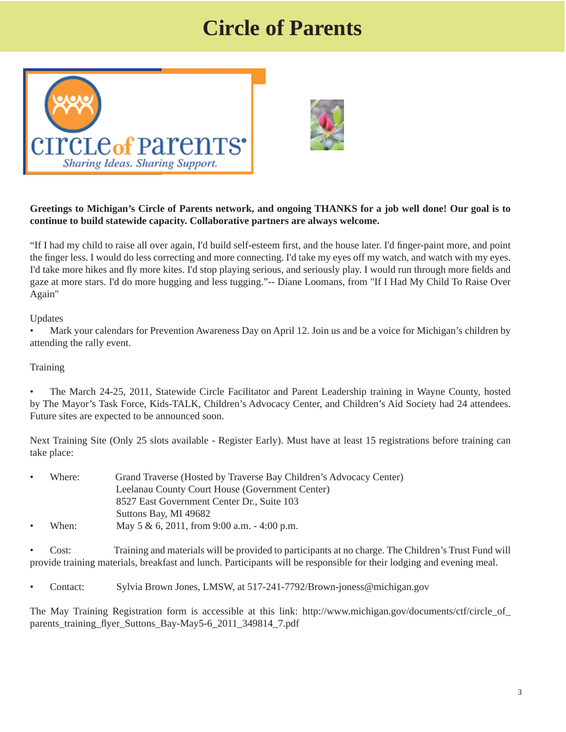# **Circle of Parents**





#### **Greetings to Michigan's Circle of Parents network, and ongoing THANKS for a job well done! Our goal is to continue to build statewide capacity. Collaborative partners are always welcome.**

"If I had my child to raise all over again, I'd build self-esteem first, and the house later. I'd finger-paint more, and point the finger less. I would do less correcting and more connecting. I'd take my eyes off my watch, and watch with my eyes. I'd take more hikes and fly more kites. I'd stop playing serious, and seriously play. I would run through more fields and gaze at more stars. I'd do more hugging and less tugging."-- Diane Loomans, from "If I Had My Child To Raise Over Again"

Updates

• Mark your calendars for Prevention Awareness Day on April 12. Join us and be a voice for Michigan's children by attending the rally event.

#### Training

• The March 24-25, 2011, Statewide Circle Facilitator and Parent Leadership training in Wayne County, hosted by The Mayor's Task Force, Kids-TALK, Children's Advocacy Center, and Children's Aid Society had 24 attendees. Future sites are expected to be announced soon.

Next Training Site (Only 25 slots available - Register Early). Must have at least 15 registrations before training can take place:

| $\bullet$ | Where: | Grand Traverse (Hosted by Traverse Bay Children's Advocacy Center) |
|-----------|--------|--------------------------------------------------------------------|
|           |        | Leelanau County Court House (Government Center)                    |
|           |        | 8527 East Government Center Dr., Suite 103                         |
|           |        | Suttons Bay, MI 49682                                              |
| $\bullet$ | When:  | May 5 & 6, 2011, from 9:00 a.m. $-4:00$ p.m.                       |

• Cost: Training and materials will be provided to participants at no charge. The Children's Trust Fund will provide training materials, breakfast and lunch. Participants will be responsible for their lodging and evening meal.

• Contact: Sylvia Brown Jones, LMSW, at 517-241-7792/Brown-joness@michigan.gov

[The May Training Registration form is accessible at this link: http://www.michigan.gov/documents/ctf/circle\\_of\\_](http://www.michigan.gov/documents/ctf/circle_of_parents_training_flyer_Suttons_Bay-May5-6_2011_349814_7.pdf) parents training flyer Suttons Bay-May5-6 2011 349814 7.pdf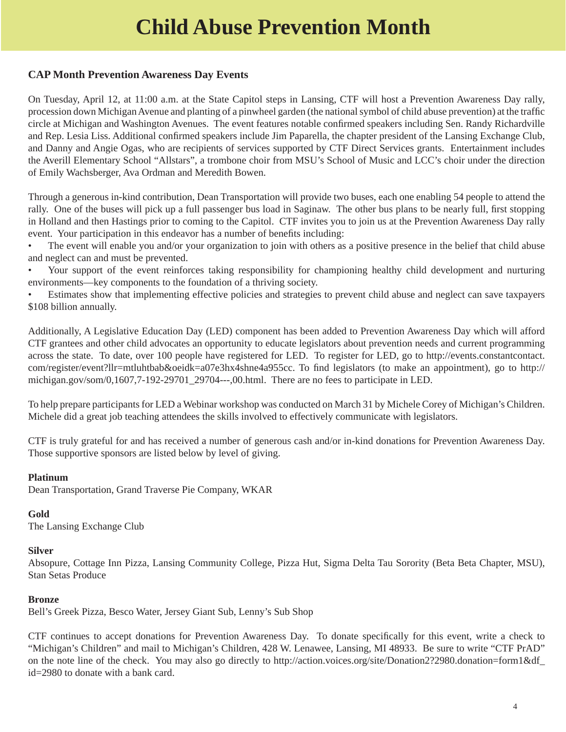# **Child Abuse Prevention Month**

#### **CAP Month Prevention Awareness Day Events**

On Tuesday, April 12, at 11:00 a.m. at the State Capitol steps in Lansing, CTF will host a Prevention Awareness Day rally, procession down Michigan Avenue and planting of a pinwheel garden (the national symbol of child abuse prevention) at the traffic circle at Michigan and Washington Avenues. The event features notable confirmed speakers including Sen. Randy Richardville and Rep. Lesia Liss. Additional confirmed speakers include Jim Paparella, the chapter president of the Lansing Exchange Club, and Danny and Angie Ogas, who are recipients of services supported by CTF Direct Services grants. Entertainment includes the Averill Elementary School "Allstars", a trombone choir from MSU's School of Music and LCC's choir under the direction of Emily Wachsberger, Ava Ordman and Meredith Bowen.

Through a generous in-kind contribution, Dean Transportation will provide two buses, each one enabling 54 people to attend the rally. One of the buses will pick up a full passenger bus load in Saginaw. The other bus plans to be nearly full, first stopping in Holland and then Hastings prior to coming to the Capitol. CTF invites you to join us at the Prevention Awareness Day rally event. Your participation in this endeavor has a number of benefits including:

- The event will enable you and/or your organization to join with others as a positive presence in the belief that child abuse and neglect can and must be prevented.
- Your support of the event reinforces taking responsibility for championing healthy child development and nurturing environments—key components to the foundation of a thriving society.
- Estimates show that implementing effective policies and strategies to prevent child abuse and neglect can save taxpayers \$108 billion annually.

Additionally, A Legislative Education Day (LED) component has been added to Prevention Awareness Day which will afford CTF grantees and other child advocates an opportunity to educate legislators about prevention needs and current programming [across the state. To date, over 100 people have registered for LED. To register for LED, go to http://events.constantcontact.](http://events.constantcontact.com/register/event?11r=mtluhtbab&oeidk=a07e3hx4shne4a955cc) com/register/event?llr=mtluhtbab&oeidk=a07e3hx4shne4a955cc. To find legislators (to make an appointment), go to http:// [michigan.gov/som/0,1607,7-192-29701\\_29704---,00.html. There are no fees to participate in LED.](http://michigan.gov/som/0,1607,7-192-29701_29704---,00.html) 

To help prepare participants for LED a Webinar workshop was conducted on March 31 by Michele Corey of Michigan's Children. Michele did a great job teaching attendees the skills involved to effectively communicate with legislators.

CTF is truly grateful for and has received a number of generous cash and/or in-kind donations for Prevention Awareness Day. Those supportive sponsors are listed below by level of giving.

#### **Platinum**

Dean Transportation, Grand Traverse Pie Company, WKAR

#### **Gold**

The Lansing Exchange Club

#### **Silver**

Absopure, Cottage Inn Pizza, Lansing Community College, Pizza Hut, Sigma Delta Tau Sorority (Beta Beta Chapter, MSU), Stan Setas Produce

#### **Bronze**

Bell's Greek Pizza, Besco Water, Jersey Giant Sub, Lenny's Sub Shop

CTF continues to accept donations for Prevention Awareness Day. To donate specifically for this event, write a check to "Michigan's Children" and mail to Michigan's Children, 428 W. Lenawee, Lansing, MI 48933. Be sure to write "CTF PrAD" [on the note line of the check. You may also go directly to http://action.voices.org/site/Donation2?2980.donation=form1&df\\_](http://action.voices.org/site/Donation2?2980.donation=form1&df_id=2980) id=2980 to donate with a bank card.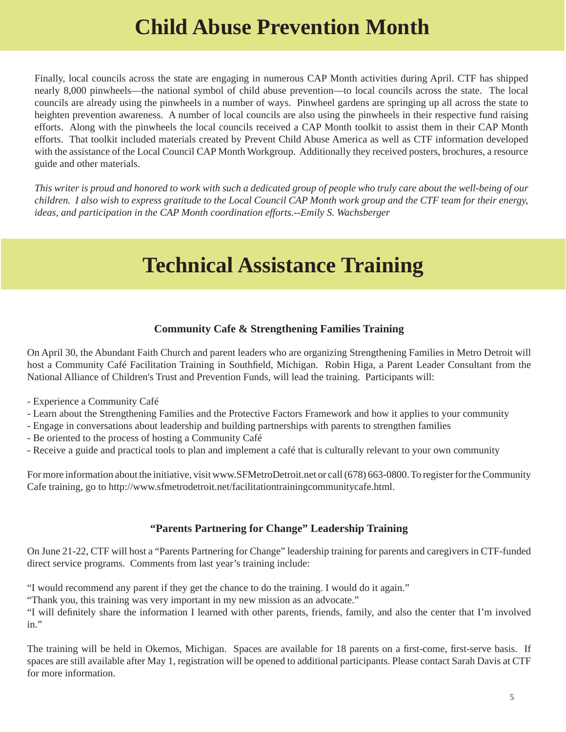# **Child Abuse Prevention Month**

Finally, local councils across the state are engaging in numerous CAP Month activities during April. CTF has shipped nearly 8,000 pinwheels—the national symbol of child abuse prevention—to local councils across the state. The local councils are already using the pinwheels in a number of ways. Pinwheel gardens are springing up all across the state to heighten prevention awareness. A number of local councils are also using the pinwheels in their respective fund raising efforts. Along with the pinwheels the local councils received a CAP Month toolkit to assist them in their CAP Month efforts. That toolkit included materials created by Prevent Child Abuse America as well as CTF information developed with the assistance of the Local Council CAP Month Workgroup. Additionally they received posters, brochures, a resource guide and other materials.

*This writer is proud and honored to work with such a dedicated group of people who truly care about the well-being of our children. I also wish to express gratitude to the Local Council CAP Month work group and the CTF team for their energy, ideas, and participation in the CAP Month coordination efforts.--Emily S. Wachsberger*

# **Technical Assistance Training**

#### **Community Cafe & Strengthening Families Training**

On April 30, the Abundant Faith Church and parent leaders who are organizing Strengthening Families in Metro Detroit will host a Community Café Facilitation Training in Southfield, Michigan. Robin Higa, a Parent Leader Consultant from the National Alliance of Children's Trust and Prevention Funds, will lead the training. Participants will:

- Experience a Community Café
- Learn about the Strengthening Families and the Protective Factors Framework and how it applies to your community
- Engage in conversations about leadership and building partnerships with parents to strengthen families
- Be oriented to the process of hosting a Community Café
- Receive a guide and practical tools to plan and implement a café that is culturally relevant to your own community

For more information about the initiative, visit www.SFMetroDetroit.net or call (678) 663-0800. To register for the Community Cafe training, go to http://www.sfmetrodetroit.net/facilitationtrainingcommunitycafe.html.

#### **"Parents Partnering for Change" Leadership Training**

On June 21-22, CTF will host a "Parents Partnering for Change" leadership training for parents and caregivers in CTF-funded direct service programs. Comments from last year's training include:

"I would recommend any parent if they get the chance to do the training. I would do it again."

"Thank you, this training was very important in my new mission as an advocate."

"I will definitely share the information I learned with other parents, friends, family, and also the center that I'm involved in."

The training will be held in Okemos, Michigan. Spaces are available for 18 parents on a first-come, first-serve basis. If spaces are still available after May 1, registration will be opened to additional participants. Please contact Sarah Davis at CTF for more information.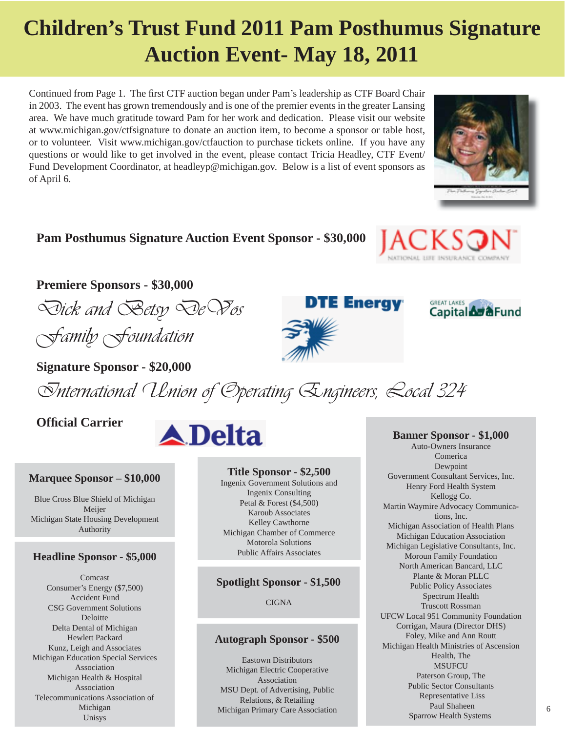# **Children's Trust Fund 2011 Pam Posthumus Signature Auction Event- May 18, 2011**

Continued from Page 1. The first CTF auction began under Pam's leadership as CTF Board Chair in 2003. The event has grown tremendously and is one of the premier events in the greater Lansing area. We have much gratitude toward Pam for her work and dedication. Please visit our website at www.michigan.gov/ctfsignature to donate an auction item, to become a sponsor or table host, or to volunteer. Visit www.michigan.gov/ctfauction to purchase tickets online. If you have any questions or would like to get involved in the event, please contact Tricia Headley, CTF Event/ Fund Development Coordinator, at headleyp@michigan.gov. Below is a list of event sponsors as of April 6.

# **Pam Posthumus Signature Auction Event Sponsor - \$30,000**

### **Premiere Sponsors - \$30,000**

*Dick and Betsy DeVos Family Foundation*

**Signature Sponsor - \$20,000** 

*International Union of Operating Engineers, Local 324*

### **Offi cial Carrier**

#### **Marquee Sponsor – \$10,000**

Blue Cross Blue Shield of Michigan Meijer Michigan State Housing Development Authority

# **Public Affairs Associates Headline Sponsor - \$5,000** Public Affairs Associates

Comcast Consumer's Energy (\$7,500) Accident Fund CSG Government Solutions Deloitte Delta Dental of Michigan Hewlett Packard Kunz, Leigh and Associates Michigan Education Special Services Association Michigan Health & Hospital Association Telecommunications Association of Michigan Unisys



#### **Title Sponsor - \$2,500**

Ingenix Government Solutions and Ingenix Consulting Petal & Forest (\$4,500) Karoub Associates Kelley Cawthorne Michigan Chamber of Commerce Motorola Solutions

#### **Spotlight Sponsor - \$1,500**

CIGNA

#### **Autograph Sponsor - \$500**

Eastown Distributors Michigan Electric Cooperative Association MSU Dept. of Advertising, Public Relations, & Retailing Michigan Primary Care Association



ARTICHAL LIFE INSURANCE COP

**GREAT LAKES** 

Capital **Ad &**Fund

Auto-Owners Insurance Comerica Dewpoint Government Consultant Services, Inc. Henry Ford Health System Kellogg Co. Martin Waymire Advocacy Communications, Inc. Michigan Association of Health Plans Michigan Education Association Michigan Legislative Consultants, Inc. Moroun Family Foundation North American Bancard, LLC Plante & Moran PLLC Public Policy Associates Spectrum Health Truscott Rossman UFCW Local 951 Community Foundation Corrigan, Maura (Director DHS) Foley, Mike and Ann Routt Michigan Health Ministries of Ascension Health, The MSUFCU Paterson Group, The Public Sector Consultants Representative Liss Paul Shaheen Sparrow Health Systems





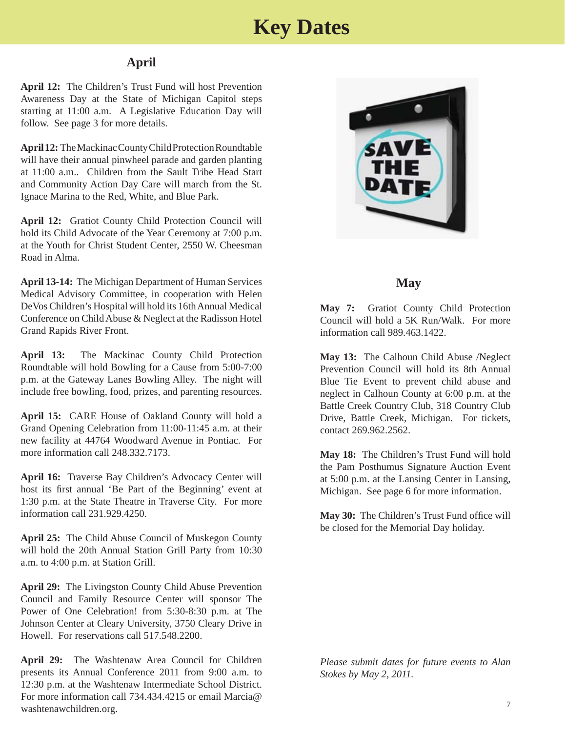# **Key Dates**

### **April**

**April 12:** The Children's Trust Fund will host Prevention Awareness Day at the State of Michigan Capitol steps starting at 11:00 a.m. A Legislative Education Day will follow. See page 3 for more details.

**April 12:** The Mackinac County Child Protection Roundtable will have their annual pinwheel parade and garden planting at 11:00 a.m.. Children from the Sault Tribe Head Start and Community Action Day Care will march from the St. Ignace Marina to the Red, White, and Blue Park.

**April 12:** Gratiot County Child Protection Council will hold its Child Advocate of the Year Ceremony at 7:00 p.m. at the Youth for Christ Student Center, 2550 W. Cheesman Road in Alma.

**April 13-14:** The Michigan Department of Human Services Medical Advisory Committee, in cooperation with Helen DeVos Children's Hospital will hold its 16th Annual Medical Conference on Child Abuse & Neglect at the Radisson Hotel Grand Rapids River Front.

**April 13:** The Mackinac County Child Protection Roundtable will hold Bowling for a Cause from 5:00-7:00 p.m. at the Gateway Lanes Bowling Alley. The night will include free bowling, food, prizes, and parenting resources.

**April 15:** CARE House of Oakland County will hold a Grand Opening Celebration from 11:00-11:45 a.m. at their new facility at 44764 Woodward Avenue in Pontiac. For more information call 248.332.7173.

**April 16:** Traverse Bay Children's Advocacy Center will host its first annual 'Be Part of the Beginning' event at 1:30 p.m. at the State Theatre in Traverse City. For more information call 231.929.4250.

**April 25:** The Child Abuse Council of Muskegon County will hold the 20th Annual Station Grill Party from 10:30 a.m. to 4:00 p.m. at Station Grill.

**April 29:** The Livingston County Child Abuse Prevention Council and Family Resource Center will sponsor The Power of One Celebration! from 5:30-8:30 p.m. at The Johnson Center at Cleary University, 3750 Cleary Drive in Howell. For reservations call 517.548.2200.

**April 29:** The Washtenaw Area Council for Children presents its Annual Conference 2011 from 9:00 a.m. to 12:30 p.m. at the Washtenaw Intermediate School District. For more information call 734.434.4215 or email Marcia@ washtenawchildren.org.



### **May**

**May 7:** Gratiot County Child Protection Council will hold a 5K Run/Walk. For more information call 989.463.1422.

**May 13:** The Calhoun Child Abuse /Neglect Prevention Council will hold its 8th Annual Blue Tie Event to prevent child abuse and neglect in Calhoun County at 6:00 p.m. at the Battle Creek Country Club, 318 Country Club Drive, Battle Creek, Michigan. For tickets, contact 269.962.2562.

**May 18:** The Children's Trust Fund will hold the Pam Posthumus Signature Auction Event at 5:00 p.m. at the Lansing Center in Lansing, Michigan. See page 6 for more information.

May 30: The Children's Trust Fund office will be closed for the Memorial Day holiday.

*Please submit dates for future events to Alan Stokes by May 2, 2011.*